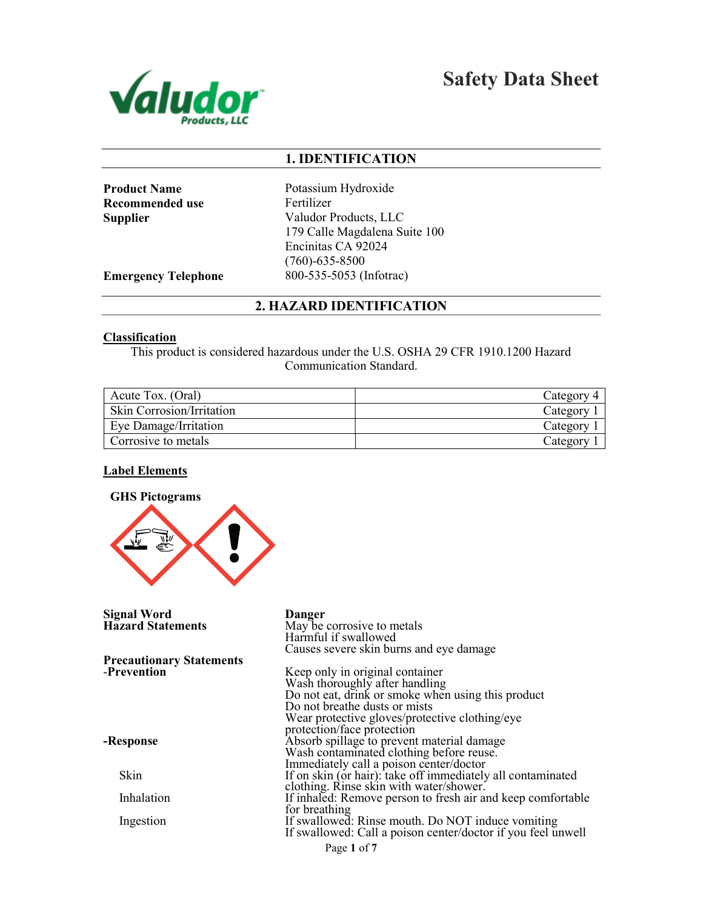

Safety Data Sheet

## 1. IDENTIFICATION

Recommended use Fertilizer

Product Name Potassium Hydroxide Supplier Valudor Products, LLC 179 Calle Magdalena Suite 100 Encinitas CA 92024 (760)-635-8500 **Emergency Telephone** 800-535-5053 (Infotrac)

### 2. HAZARD IDENTIFICATION

#### Classification

This product is considered hazardous under the U.S. OSHA 29 CFR 1910.1200 Hazard Communication Standard.

| Acute Tox. (Oral)                | Category |
|----------------------------------|----------|
| <b>Skin Corrosion/Irritation</b> | Category |
| Eye Damage/Irritation            | Category |
| Corrosive to metals              | Category |

#### Label Elements



Page 1 of 7 Signal Word Danger May be corrosive to metals Harmful if swallowed Causes severe skin burns and eye damage Precautionary Statements -Prevention -Response Skin Inhalation Ingestion Keep only in original container Wash thoroughly after handling Do not eat, drink or smoke when using this product Do not breathe dusts or mists Wear protective gloves/protective clothing/eye protection/face protection Absorb spillage to prevent material damage Wash contaminated clothing before reuse. Immediately call a poison center/doctor If on skin (or hair): take off immediately all contaminated clothing. Rinse skin with water/shower. If inhaled: Remove person to fresh air and keep comfortable for breathing If swallowed: Rinse mouth. Do NOT induce vomiting If swallowed: Call a poison center/doctor if you feel unwell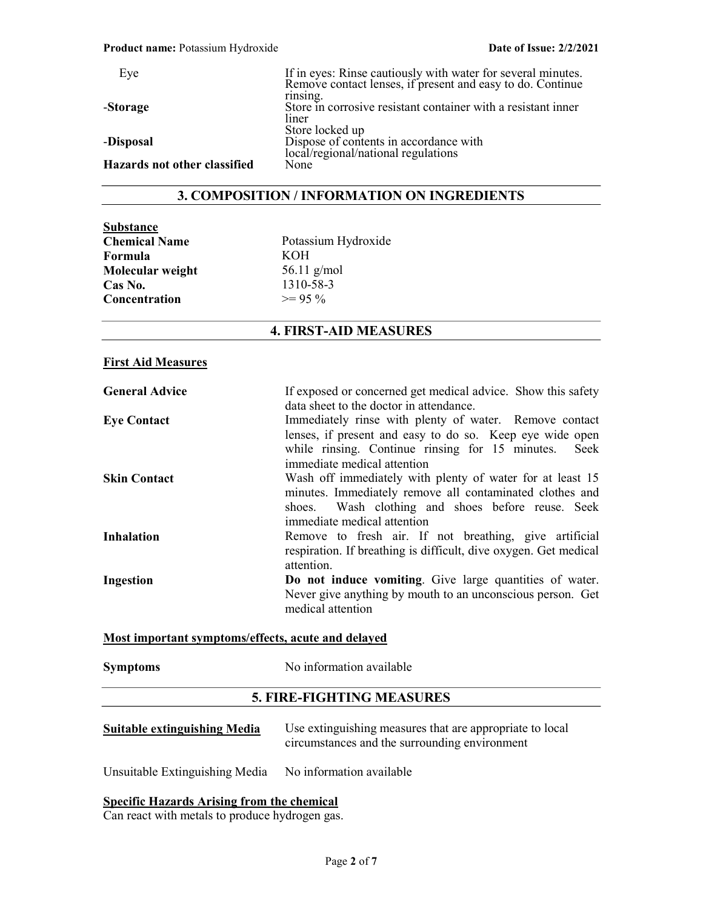| Eye                          | If in eyes: Rinse cautiously with water for several minutes.<br>Remove contact lenses, if present and easy to do. Continue |
|------------------------------|----------------------------------------------------------------------------------------------------------------------------|
| -Storage                     | rinsing.<br>Store in corrosive resistant container with a resistant inner<br>liner                                         |
| -Disposal                    | Store locked up<br>Dispose of contents in accordance with<br>local/regional/national regulations                           |
| Hazards not other classified | None                                                                                                                       |

### 3. COMPOSITION / INFORMATION ON INGREDIENTS

| Potassium Hydroxide |
|---------------------|
| <b>KOH</b>          |
| 56.11 $g/mol$       |
| 1310-58-3           |
| $\geq$ 95 %         |
|                     |

## 4. FIRST-AID MEASURES

#### First Aid Measures

| <b>General Advice</b> | If exposed or concerned get medical advice. Show this safety     |
|-----------------------|------------------------------------------------------------------|
|                       | data sheet to the doctor in attendance.                          |
| <b>Eye Contact</b>    | Immediately rinse with plenty of water. Remove contact           |
|                       | lenses, if present and easy to do so. Keep eye wide open         |
|                       | while rinsing. Continue rinsing for 15 minutes. Seek             |
|                       | immediate medical attention                                      |
| <b>Skin Contact</b>   | Wash off immediately with plenty of water for at least 15        |
|                       | minutes. Immediately remove all contaminated clothes and         |
|                       | shoes. Wash clothing and shoes before reuse. Seek                |
|                       | immediate medical attention                                      |
| <b>Inhalation</b>     | Remove to fresh air. If not breathing, give artificial           |
|                       | respiration. If breathing is difficult, dive oxygen. Get medical |
|                       | attention.                                                       |
| <b>Ingestion</b>      | Do not induce vomiting. Give large quantities of water.          |
|                       | Never give anything by mouth to an unconscious person. Get       |
|                       | medical attention                                                |
|                       | Most important symptoms/effects, acute and delayed               |
|                       |                                                                  |
| <b>Symptoms</b>       | No information available                                         |

### 5. FIRE-FIGHTING MEASURES

| <b>Suitable extinguishing Media</b> | Use extinguishing measures that are appropriate to local<br>circumstances and the surrounding environment |
|-------------------------------------|-----------------------------------------------------------------------------------------------------------|
|                                     |                                                                                                           |

Unsuitable Extinguishing Media No information available

#### Specific Hazards Arising from the chemical

Can react with metals to produce hydrogen gas.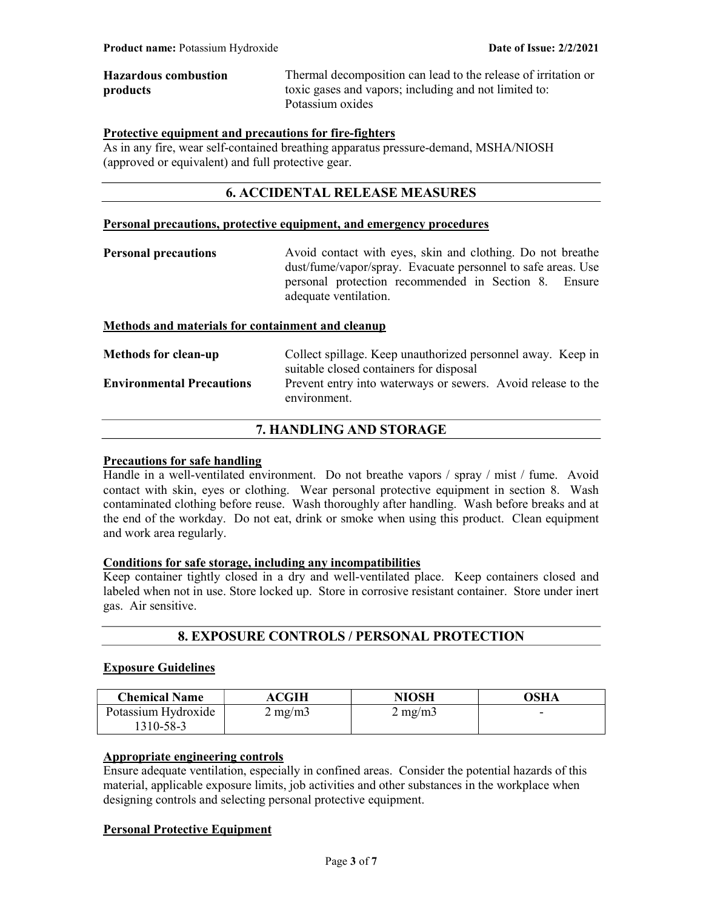| <b>Hazardous combustion</b> | Thermal decomposition can lead to the release of irritation or |
|-----------------------------|----------------------------------------------------------------|
| products                    | toxic gases and vapors; including and not limited to:          |
|                             | Potassium oxides                                               |

### Protective equipment and precautions for fire-fighters

As in any fire, wear self-contained breathing apparatus pressure-demand, MSHA/NIOSH (approved or equivalent) and full protective gear.

## 6. ACCIDENTAL RELEASE MEASURES

#### Personal precautions, protective equipment, and emergency procedures

Personal precautions Avoid contact with eyes, skin and clothing. Do not breathe dust/fume/vapor/spray. Evacuate personnel to safe areas. Use personal protection recommended in Section 8. Ensure adequate ventilation.

### Methods and materials for containment and cleanup

| <b>Methods for clean-up</b>      | Collect spillage. Keep unauthorized personnel away. Keep in                  |
|----------------------------------|------------------------------------------------------------------------------|
|                                  | suitable closed containers for disposal                                      |
| <b>Environmental Precautions</b> | Prevent entry into waterways or sewers. Avoid release to the<br>environment. |
|                                  |                                                                              |

## 7. HANDLING AND STORAGE

#### Precautions for safe handling

Handle in a well-ventilated environment. Do not breathe vapors / spray / mist / fume. Avoid contact with skin, eyes or clothing. Wear personal protective equipment in section 8. Wash contaminated clothing before reuse. Wash thoroughly after handling. Wash before breaks and at the end of the workday. Do not eat, drink or smoke when using this product. Clean equipment and work area regularly.

#### Conditions for safe storage, including any incompatibilities

Keep container tightly closed in a dry and well-ventilated place. Keep containers closed and labeled when not in use. Store locked up. Store in corrosive resistant container. Store under inert gas. Air sensitive.

## 8. EXPOSURE CONTROLS / PERSONAL PROTECTION

#### Exposure Guidelines

| <b>Chemical Name</b> | <b>ACGIH</b>     | NIOSH            | OSHA |
|----------------------|------------------|------------------|------|
| Potassium Hydroxide  | $2 \text{ mg/m}$ | $2 \text{ mg/m}$ | -    |
| 1310-58-3            |                  |                  |      |

# Appropriate engineering controls

Ensure adequate ventilation, especially in confined areas. Consider the potential hazards of this material, applicable exposure limits, job activities and other substances in the workplace when designing controls and selecting personal protective equipment.

#### Personal Protective Equipment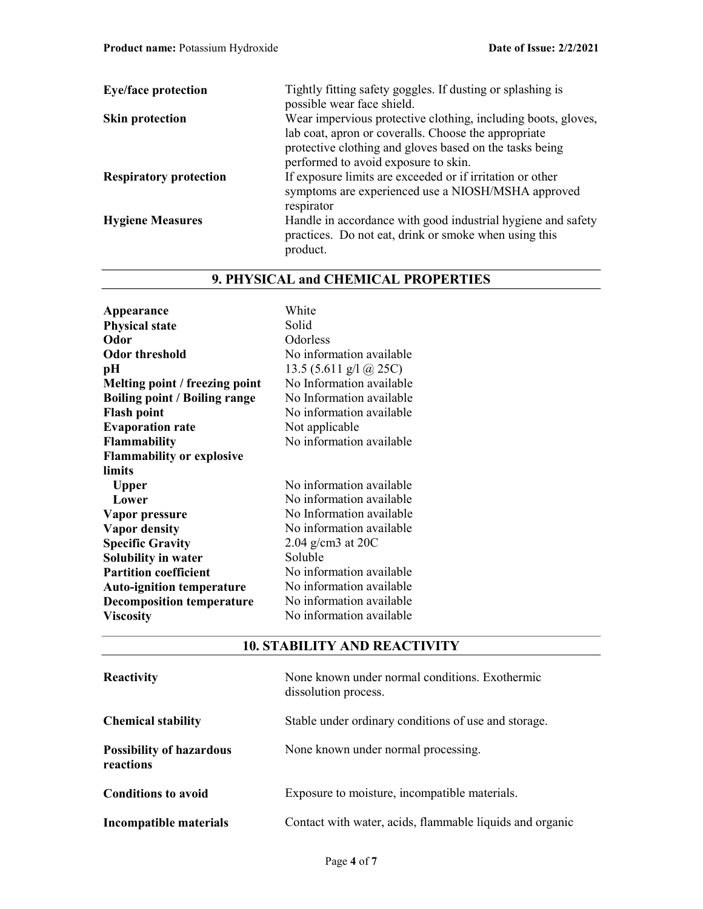| <b>Eye/face protection</b>    | Tightly fitting safety goggles. If dusting or splashing is<br>possible wear face shield.                                          |
|-------------------------------|-----------------------------------------------------------------------------------------------------------------------------------|
| <b>Skin protection</b>        | Wear impervious protective clothing, including boots, gloves,<br>lab coat, apron or coveralls. Choose the appropriate             |
|                               | protective clothing and gloves based on the tasks being<br>performed to avoid exposure to skin.                                   |
| <b>Respiratory protection</b> | If exposure limits are exceeded or if irritation or other<br>symptoms are experienced use a NIOSH/MSHA approved<br>respirator     |
| <b>Hygiene Measures</b>       | Handle in accordance with good industrial hygiene and safety<br>practices. Do not eat, drink or smoke when using this<br>product. |

# 9. PHYSICAL and CHEMICAL PROPERTIES

| Appearance                           | White                         |
|--------------------------------------|-------------------------------|
| <b>Physical state</b>                | Solid                         |
| Odor                                 | Odorless                      |
| <b>Odor threshold</b>                | No information available      |
| pН                                   | 13.5 (5.611 g/l $\omega$ 25C) |
| Melting point / freezing point       | No Information available      |
| <b>Boiling point / Boiling range</b> | No Information available      |
| <b>Flash point</b>                   | No information available      |
| <b>Evaporation rate</b>              | Not applicable                |
| Flammability                         | No information available      |
| <b>Flammability or explosive</b>     |                               |
| limits                               |                               |
| <b>Upper</b>                         | No information available      |
| Lower                                | No information available      |
| Vapor pressure                       | No Information available      |
| <b>Vapor density</b>                 | No information available      |
| <b>Specific Gravity</b>              | $2.04$ g/cm3 at 20C           |
| Solubility in water                  | Soluble                       |
| <b>Partition coefficient</b>         | No information available      |
| <b>Auto-ignition temperature</b>     | No information available      |
| <b>Decomposition temperature</b>     | No information available      |
| <b>Viscosity</b>                     | No information available      |
|                                      |                               |

# 10. STABILITY AND REACTIVITY

| Reactivity                                   | None known under normal conditions. Exothermic<br>dissolution process. |
|----------------------------------------------|------------------------------------------------------------------------|
| <b>Chemical stability</b>                    | Stable under ordinary conditions of use and storage.                   |
| <b>Possibility of hazardous</b><br>reactions | None known under normal processing.                                    |
| <b>Conditions to avoid</b>                   | Exposure to moisture, incompatible materials.                          |
| Incompatible materials                       | Contact with water, acids, flammable liquids and organic               |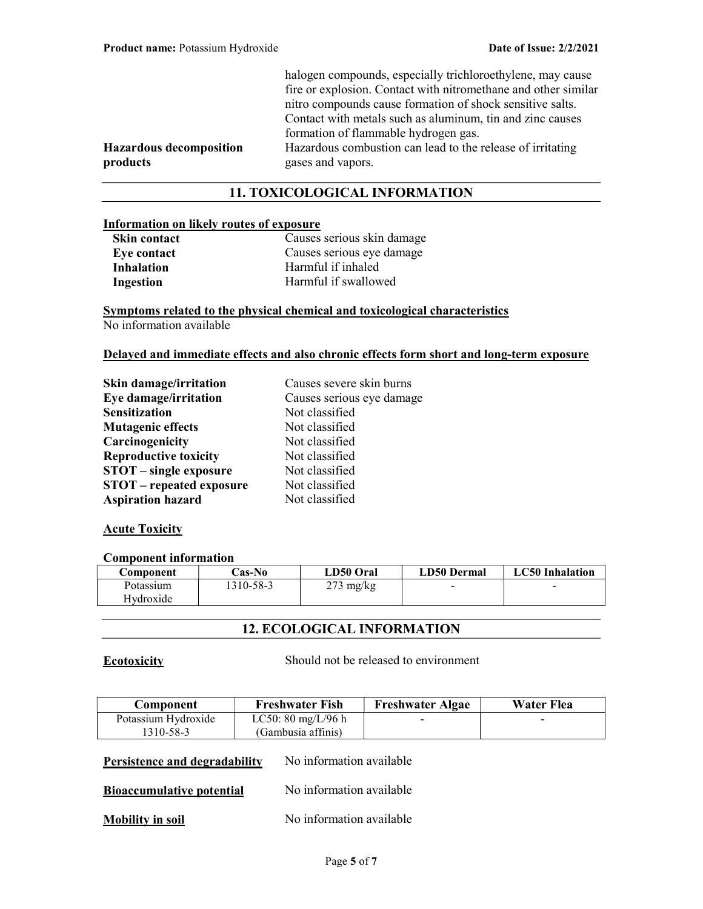| halogen compounds, especially trichloroethylene, may cause     |
|----------------------------------------------------------------|
| fire or explosion. Contact with nitromethane and other similar |
| nitro compounds cause formation of shock sensitive salts.      |
| Contact with metals such as aluminum, tin and zinc causes      |
| formation of flammable hydrogen gas.                           |
| Hazardous combustion can lead to the release of irritating     |
| gases and vapors.                                              |

## Hazardous decomposition products

## 11. TOXICOLOGICAL INFORMATION

### Information on likely routes of exposure

| Skin contact       |  |
|--------------------|--|
| <b>Eye contact</b> |  |
| Inhalation         |  |
| Ingestion          |  |

Causes serious skin damage Causes serious eye damage Harmful if inhaled Harmful if swallowed

Symptoms related to the physical chemical and toxicological characteristics No information available

#### Delayed and immediate effects and also chronic effects form short and long-term exposure

| Skin damage/irritation          | Causes severe skin burns  |
|---------------------------------|---------------------------|
| Eye damage/irritation           | Causes serious eye damage |
| <b>Sensitization</b>            | Not classified            |
| <b>Mutagenic effects</b>        | Not classified            |
| Carcinogenicity                 | Not classified            |
| <b>Reproductive toxicity</b>    | Not classified            |
| <b>STOT</b> – single exposure   | Not classified            |
| <b>STOT</b> – repeated exposure | Not classified            |
| <b>Aspiration hazard</b>        | Not classified            |

## **Acute Toxicity**

#### Component information

| Component | <b>Cas-No</b> | LD50 Oral           | LD50 Dermal | <b>LC50</b> Inhalation |
|-----------|---------------|---------------------|-------------|------------------------|
| Potassium | 1310-58-3     | $273 \text{ mg/kg}$ | $\,$        | $\sim$                 |
| Hydroxide |               |                     |             |                        |

## 12. ECOLOGICAL INFORMATION

Ecotoxicity Should not be released to environment

| Component           | <b>Freshwater Fish</b>               | <b>Freshwater Algae</b> | Water Flea |
|---------------------|--------------------------------------|-------------------------|------------|
| Potassium Hydroxide | LC50: $80 \text{ mg/L}/96 \text{ h}$ | -                       | $\sim$     |
| 1310-58-3           | (Gambusia affinis)                   |                         |            |
|                     |                                      |                         |            |

## **Persistence and degradability** No information available

**Bioaccumulative potential** No information available

## Mobility in soil No information available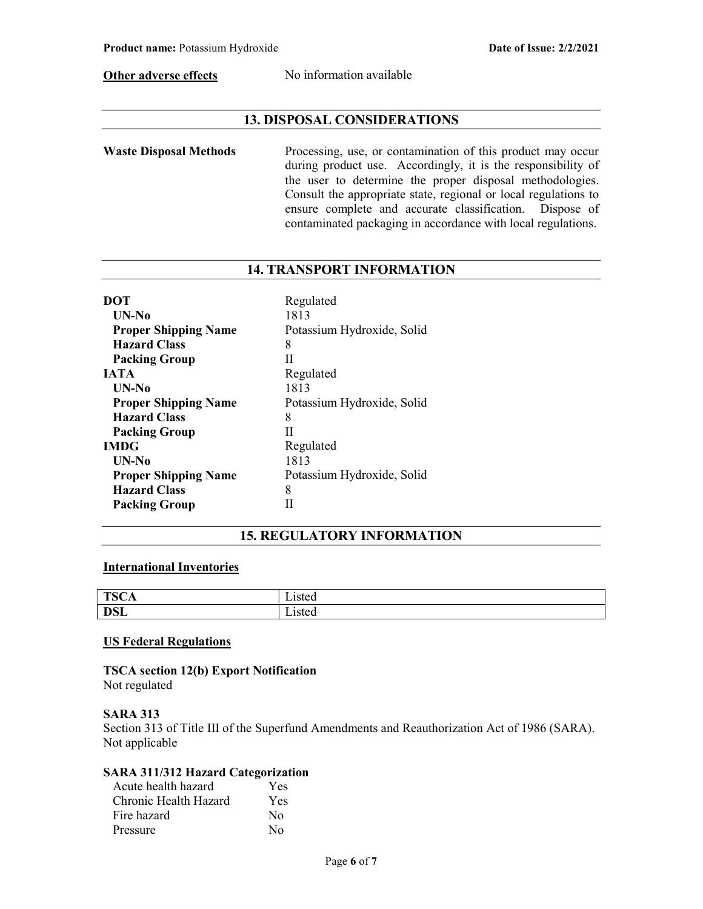Other adverse effects No information available

## 13. DISPOSAL CONSIDERATIONS

Waste Disposal Methods Processing, use, or contamination of this product may occur during product use. Accordingly, it is the responsibility of the user to determine the proper disposal methodologies. Consult the appropriate state, regional or local regulations to ensure complete and accurate classification. Dispose of contaminated packaging in accordance with local regulations.

## 14. TRANSPORT INFORMATION

| <b>DOT</b>                  | Regulated                  |
|-----------------------------|----------------------------|
| UN-No                       | 1813                       |
| <b>Proper Shipping Name</b> | Potassium Hydroxide, Solid |
| <b>Hazard Class</b>         | 8                          |
| <b>Packing Group</b>        | Н                          |
| <b>JATA</b>                 | Regulated                  |
| UN-No                       | 1813                       |
| <b>Proper Shipping Name</b> | Potassium Hydroxide, Solid |
| <b>Hazard Class</b>         | 8                          |
| <b>Packing Group</b>        | Н                          |
| <b>IMDG</b>                 | Regulated                  |
| $UN-N0$                     | 1813                       |
| <b>Proper Shipping Name</b> | Potassium Hydroxide, Solid |
| <b>Hazard Class</b>         | 8                          |
| <b>Packing Group</b>        |                            |

## 15. REGULATORY INFORMATION

## International Inventories

| <b>TSCA</b> | $-1$<br>wu |
|-------------|------------|
| <b>DSL</b>  | -15 w      |

#### US Federal Regulations

TSCA section 12(b) Export Notification Not regulated

#### SARA 313

Section 313 of Title III of the Superfund Amendments and Reauthorization Act of 1986 (SARA). Not applicable

## SARA 311/312 Hazard Categorization

| Acute health hazard   | Yes      |
|-----------------------|----------|
| Chronic Health Hazard | Yes      |
| Fire hazard           | No       |
| Pressure              | $\rm No$ |